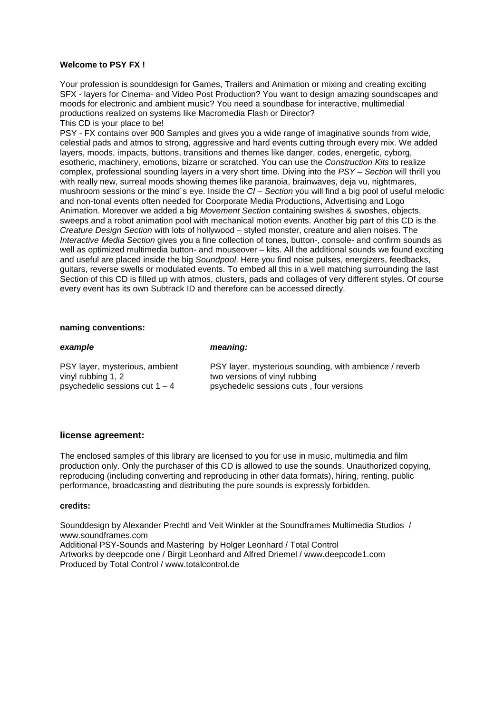#### **Welcome to PSY FX !**

Your profession is sounddesign for Games, Trailers and Animation or mixing and creating exciting SFX - layers for Cinema- and Video Post Production? You want to design amazing soundscapes and moods for electronic and ambient music? You need a soundbase for interactive, multimedial productions realized on systems like Macromedia Flash or Director? This CD is your place to be!

PSY - FX contains over 900 Samples and gives you a wide range of imaginative sounds from wide, celestial pads and atmos to strong, aggressive and hard events cutting through every mix. We added layers, moods, impacts, buttons, transitions and themes like danger, codes, energetic, cyborg, esotheric, machinery, emotions, bizarre or scratched. You can use the *Construction Kits* to realize complex, professional sounding layers in a very short time. Diving into the *PSY – Section* will thrill you with really new, surreal moods showing themes like paranoia, brainwaves, deja vu, nightmares, mushroom sessions or the mind´s eye. Inside the *CI – Section* you will find a big pool of useful melodic and non-tonal events often needed for Coorporate Media Productions, Advertising and Logo Animation. Moreover we added a big *Movement Section* containing swishes & swoshes, objects, sweeps and a robot animation pool with mechanical motion events. Another big part of this CD is the *Creature Design Section* with lots of hollywood – styled monster, creature and alien noises. The *Interactive Media Section* gives you a fine collection of tones, button-, console- and confirm sounds as well as optimized multimedia button- and mouseover – kits. All the additional sounds we found exciting and useful are placed inside the big *Soundpool*. Here you find noise pulses, energizers, feedbacks, guitars, reverse swells or modulated events. To embed all this in a well matching surrounding the last Section of this CD is filled up with atmos, clusters, pads and collages of very different styles. Of course every event has its own Subtrack ID and therefore can be accessed directly.

#### **naming conventions:**

| example                          | meaning:                                               |
|----------------------------------|--------------------------------------------------------|
| PSY layer, mysterious, ambient   | PSY layer, mysterious sounding, with ambience / reverb |
| vinyl rubbing 1, 2               | two versions of vinyl rubbing                          |
| psychedelic sessions cut $1 - 4$ | psychedelic sessions cuts, four versions               |

#### **license agreement:**

The enclosed samples of this library are licensed to you for use in music, multimedia and film production only. Only the purchaser of this CD is allowed to use the sounds. Unauthorized copying, reproducing (including converting and reproducing in other data formats), hiring, renting, public performance, broadcasting and distributing the pure sounds is expressly forbidden.

#### **credits:**

Sounddesign by Alexander Prechtl and Veit Winkler at the Soundframes Multimedia Studios / www.soundframes.com Additional PSY-Sounds and Mastering by Holger Leonhard / Total Control Artworks by deepcode one / Birgit Leonhard and Alfred Driemel / www.deepcode1.com Produced by Total Control / www.totalcontrol.de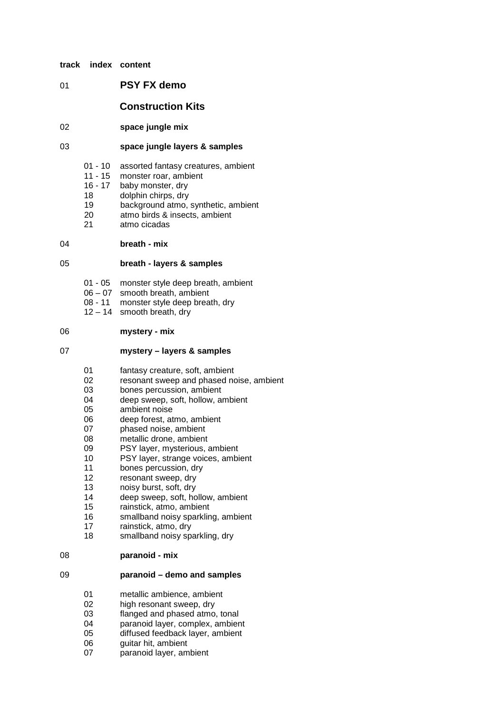- **track index content**
- 01 **PSY FX demo**

## **Construction Kits**

02 **space jungle mix**

## 03 **space jungle layers & samples**

- 01 10 assorted fantasy creatures, ambient
- 11 15 monster roar, ambient
- 16 17 baby monster, dry
- 18 dolphin chirps, dry
- 19 background atmo, synthetic, ambient
- 20 atmo birds & insects, ambient
- 21 atmo cicadas

#### 04 **breath - mix**

#### 05 **breath - layers & samples**

- 01 05 monster style deep breath, ambient
- 06 07 smooth breath, ambient
- 08 11 monster style deep breath, dry
- $12 14$  smooth breath, dry

## 06 **mystery - mix**

## 07 **mystery – layers & samples**

- 01 fantasy creature, soft, ambient
- 02 resonant sweep and phased noise, ambient
- 03 bones percussion, ambient
- 04 deep sweep, soft, hollow, ambient
- 05 ambient noise
- 06 deep forest, atmo, ambient
- 07 phased noise, ambient
- 08 metallic drone, ambient
- 09 PSY layer, mysterious, ambient<br>10 PSY laver, strange voices, ambi
- PSY layer, strange voices, ambient
- 11 bones percussion, dry
- 12 resonant sweep, dry
- 13 noisy burst, soft, dry<br>14 deep sweep, soft, ho
- deep sweep, soft, hollow, ambient
- 15 rainstick, atmo, ambient<br>16 smallband noisy sparklin
- 16 smallband noisy sparkling, ambient<br>17 rainstick, atmo, drv
- rainstick, atmo, dry
- 18 smallband noisy sparkling, dry

#### 08 **paranoid - mix**

#### 09 **paranoid – demo and samples**

- 01 metallic ambience, ambient
- 02 high resonant sweep, dry
- 03 flanged and phased atmo, tonal
- 04 paranoid layer, complex, ambient<br>05 diffused feedback layer, ambient
- diffused feedback layer, ambient
- 06 guitar hit, ambient
- 07 paranoid layer, ambient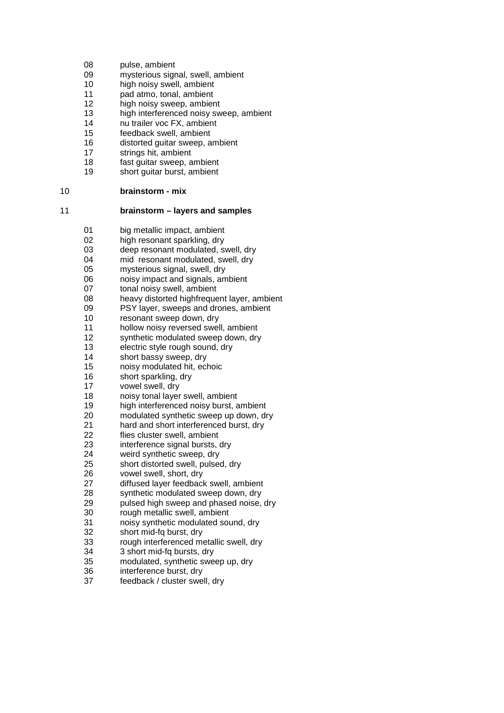- 08 pulse, ambient
- 09 mysterious signal, swell, ambient<br>10 high noisy swell, ambient
- high noisy swell, ambient
- 11 pad atmo, tonal, ambient
- 12 high noisy sweep, ambient<br>13 high interferenced noisy sw
- high interferenced noisy sweep, ambient
- 14 nu trailer voc FX, ambient
- 15 feedback swell, ambient<br>16 distorted quitar sweep. a
- 16 distorted guitar sweep, ambient<br>17 strings hit, ambient
- strings hit, ambient
- 18 fast guitar sweep, ambient<br>19 short quitar burst, ambient
- short guitar burst, ambient

## 10 **brainstorm - mix**

#### 11 **brainstorm – layers and samples**

- 01 big metallic impact, ambient
- 02 high resonant sparkling, dry
- 03 deep resonant modulated, swell, dry
- 04 mid resonant modulated, swell, dry
- 05 mysterious signal, swell, dry
- 06 noisy impact and signals, ambient<br>07 tonal noisy swell, ambient
- tonal noisy swell, ambient
- 08 heavy distorted highfrequent layer, ambient
- 09 PSY layer, sweeps and drones, ambient
- 10 resonant sweep down, dry
- 11 hollow noisy reversed swell, ambient
- 12 synthetic modulated sweep down, dry<br>13 electric style rough sound, dry
- 13 electric style rough sound, dry<br>14 short bassy sweep, dry
- short bassy sweep, dry
- 15 noisy modulated hit, echoic<br>16 short sparkling, dry
- short sparkling, dry
- 17 vowel swell, dry<br>18 moisy tonal layer
- 18 noisy tonal layer swell, ambient<br>19 high interferenced noisy burst
- high interferenced noisy burst, ambient
- 20 modulated synthetic sweep up down, dry
- 21 hard and short interferenced burst, dry
- 22 flies cluster swell, ambient
- 23 interference signal bursts, dry
- 24 weird synthetic sweep, dry
- 25 short distorted swell, pulsed, dry
- 26 vowel swell, short, dry
- 27 diffused layer feedback swell, ambient
- 
- 28 synthetic modulated sweep down, dry<br>29 bulsed high sweep and phased noise. pulsed high sweep and phased noise, dry
- 30 rough metallic swell, ambient
- 31 noisy synthetic modulated sound, dry
- 32 short mid-fq burst, dry
- 33 rough interferenced metallic swell, dry<br>34 3 short mid-fa bursts, dry
- 34 3 short mid-fq bursts, dry<br>35 modulated. synthetic swe
- modulated, synthetic sweep up, dry
- 36 interference burst, dry<br>37 feedback / cluster swe
- feedback / cluster swell, dry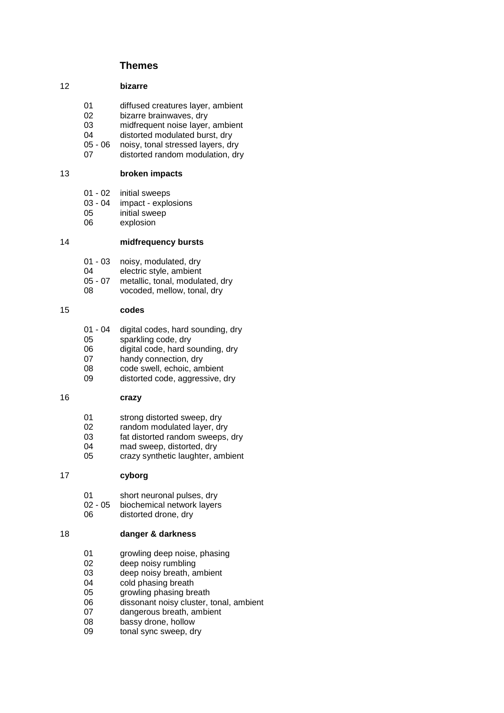# **Themes**

#### 12 **bizarre**

- 01 diffused creatures layer, ambient<br>02 bizarre brainwaves, dry
- bizarre brainwaves, dry
- 03 midfrequent noise layer, ambient
- 04 distorted modulated burst, dry<br>05 06 noisy, tonal stressed layers, dr
- noisy, tonal stressed layers, dry
- 07 distorted random modulation, dry

## 13 **broken impacts**

- 01 02 initial sweeps<br>03 04 impact explo
- 03 04 impact explosions<br>05 initial sweep
- 05 initial sweep<br>06 explosion
- explosion

# 14 **midfrequency bursts**

- 01 03 noisy, modulated, dry
- 04 electric style, ambient
- 05 07 metallic, tonal, modulated, dry<br>08 vocoded, mellow, tonal, dry
- vocoded, mellow, tonal, dry

## 15 **codes**

- 01 04 digital codes, hard sounding, dry
- 05 sparkling code, dry
- 06 digital code, hard sounding, dry
- 07 handy connection, dry
- 08 code swell, echoic, ambient<br>09 distorted code, aggressive
- distorted code, aggressive, dry

# 16 **crazy**

- 01 strong distorted sweep, dry
- 02 random modulated layer, dry
- 03 fat distorted random sweeps, dry
- 04 mad sweep, distorted, dry
- 05 crazy synthetic laughter, ambient

## 17 **cyborg**

- 01 short neuronal pulses, dry<br>02 05 biochemical network layers
- 02 05 biochemical network layers<br>06 distorted drone, drv
- distorted drone, dry

## 18 **danger & darkness**

- 01 growling deep noise, phasing
- 02 deep noisy rumbling
- 03 deep noisy breath, ambient<br>04 cold phasing breath
- 04 cold phasing breath<br>05 crowling phasing bre
- growling phasing breath
- 06 dissonant noisy cluster, tonal, ambient<br>07 dangerous breath, ambient
- dangerous breath, ambient
- 08 bassy drone, hollow
- 09 tonal sync sweep, dry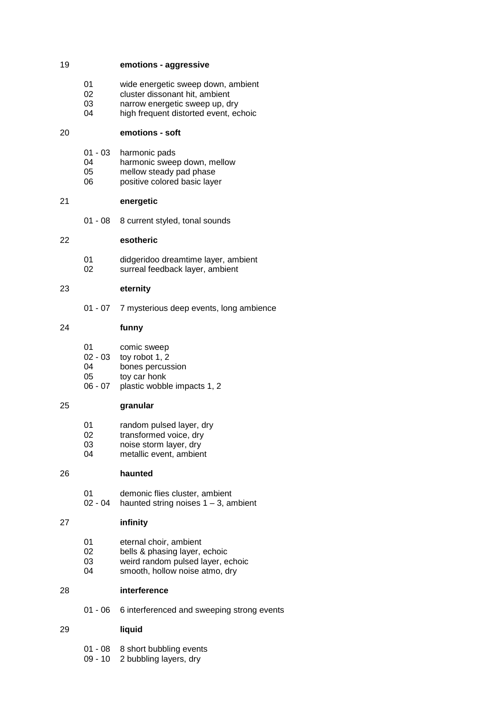## 19 **emotions - aggressive**

- 01 wide energetic sweep down, ambient<br>02 cluster dissonant hit. ambient
- cluster dissonant hit, ambient
- 03 narrow energetic sweep up, dry<br>04 high frequent distorted event. eq
- high frequent distorted event, echoic

#### 20 **emotions - soft**

- 01 03 harmonic pads
- 04 harmonic sweep down, mellow<br>05 mellow steady pad phase
- 05 mellow steady pad phase<br>06 positive colored basic lave
- positive colored basic layer

# 21 **energetic**

01 - 08 8 current styled, tonal sounds

## 22 **esotheric**

01 didgeridoo dreamtime layer, ambient 02 surreal feedback layer, ambient

## 23 **eternity**

01 - 07 7 mysterious deep events, long ambience

## 24 **funny**

- 01 comic sweep<br>02 03 tov robot 1, 2
- 02 03 toy robot 1, 2<br>04 bones percus
- 04 bones percussion<br>05 tov car honk
- toy car honk
- 06 07 plastic wobble impacts 1, 2

## 25 **granular**

- 01 random pulsed layer, dry
- 02 transformed voice, dry
- 03 noise storm layer, dry
- 04 metallic event, ambient

## 26 **haunted**

- 01 demonic flies cluster, ambient
- 02 04 haunted string noises  $1 3$ , ambient

## 27 **infinity**

- 01 eternal choir, ambient<br>02 bells & phasing laver.
- 02 bells & phasing layer, echoic<br>03 weird random pulsed layer. e
- 03 weird random pulsed layer, echoic<br>04 smooth. hollow noise atmo. drv
- smooth, hollow noise atmo, dry

# 28 **interference**

01 - 06 6 interferenced and sweeping strong events

## 29 **liquid**

- 01 08 8 short bubbling events
- 09 10 2 bubbling layers, dry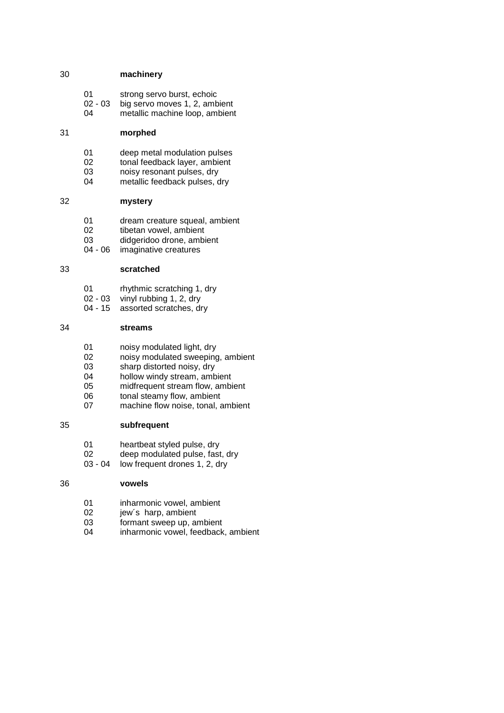## 30 **machinery**

| -01 | strong servo burst, echoic |
|-----|----------------------------|
|-----|----------------------------|

- 02 03 big servo moves 1, 2, ambient<br>04 metallic machine loop, ambient
- metallic machine loop, ambient

## 31 **morphed**

- 01 deep metal modulation pulses<br>02 tonal feedback laver, ambient
- 02 tonal feedback layer, ambient<br>03 noisy resonant pulses, dry
- 03 noisy resonant pulses, dry<br>04 metallic feedback pulses.
- metallic feedback pulses, dry

# 32 **mystery**

- 01 dream creature squeal, ambient<br>02 tibetan vowel. ambient
- tibetan vowel, ambient
- 03 didgeridoo drone, ambient
- 04 06 imaginative creatures

## 33 **scratched**

- 01 rhythmic scratching 1, dry
- 02 03 vinyl rubbing 1, 2, dry<br>04 15 assorted scratches, dr
- assorted scratches, dry

## 34 **streams**

- 01 noisy modulated light, dry<br>02 noisy modulated sweeping
- 02 noisy modulated sweeping, ambient<br>03 sharp distorted noisy. dry
- 03 sharp distorted noisy, dry<br>04 hollow windy stream, amb
- 04 hollow windy stream, ambient<br>05 midfrequent stream flow, ambi
- 05 midfrequent stream flow, ambient<br>06 tonal steamy flow, ambient
- 06 tonal steamy flow, ambient<br>07 machine flow noise, tonal, a
- machine flow noise, tonal, ambient

## 35 **subfrequent**

- 01 heartbeat styled pulse, dry
- 02 deep modulated pulse, fast, dry
- 03 04 low frequent drones 1, 2, dry

#### 36 **vowels**

- 01 inharmonic vowel, ambient
- 02 jew's harp, ambient<br>03 formant sweep up, are
- 03 formant sweep up, ambient<br>04 inharmonic vowel. feedback
- inharmonic vowel, feedback, ambient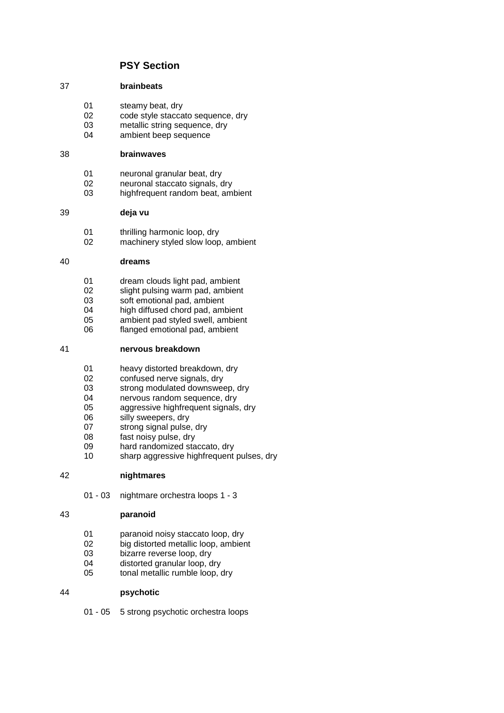# **PSY Section**

## 37 **brainbeats**

- 01 steamy beat, dry<br>02 code style stacca
- 02 code style staccato sequence, dry<br>03 metallic string sequence, dry
- 03 metallic string sequence, dry<br>04 mbient beep sequence
- ambient beep sequence

## 38 **brainwaves**

- 01 neuronal granular beat, dry<br>02 neuronal staccato signals of
- 02 neuronal staccato signals, dry<br>03 highfrequent random beat am
- highfrequent random beat, ambient

## 39 **deja vu**

- 01 thrilling harmonic loop, dry
- 02 machinery styled slow loop, ambient

## 40 **dreams**

- 01 dream clouds light pad, ambient
- 02 slight pulsing warm pad, ambient<br>03 soft emotional pad, ambient
- 03 soft emotional pad, ambient<br>04 high diffused chord pad am
- 04 high diffused chord pad, ambient<br>05 ambient pad styled swell, ambien
- 05 ambient pad styled swell, ambient<br>06 flanged emotional pad, ambient
- flanged emotional pad, ambient

# 41 **nervous breakdown**

- 01 heavy distorted breakdown, dry<br>02 confused nerve signals, dry
- 02 confused nerve signals, dry<br>03 strong modulated downswee
- 03 strong modulated downsweep, dry<br>04 mervous random sequence dry
- 04 nervous random sequence, dry<br>05 aggressive highfrequent signals
- 05 aggressive highfrequent signals, dry<br>06 silly sweepers, dry
- silly sweepers, dry
- 07 strong signal pulse, dry
- 08 fast noisy pulse, dry
- 09 hard randomized staccato, dry
- 10 sharp aggressive highfrequent pulses, dry

## 42 **nightmares**

01 - 03 nightmare orchestra loops 1 - 3

# 43 **paranoid**

- 01 paranoid noisy staccato loop, dry
- 02 big distorted metallic loop, ambient
- 03 bizarre reverse loop, dry
- 04 distorted granular loop, dry
- 05 tonal metallic rumble loop, dry

# 44 **psychotic**

01 - 05 5 strong psychotic orchestra loops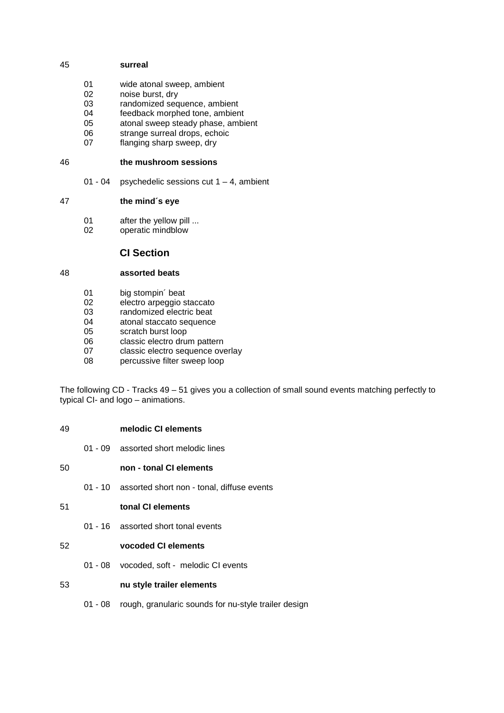## 45 **surreal**

- 01 wide atonal sweep, ambient<br>02 noise burst, dry
- noise burst, dry
- 03 randomized sequence, ambient<br>04 feedback morphed tone, ambien
- feedback morphed tone, ambient
- 05 atonal sweep steady phase, ambient
- 06 strange surreal drops, echoic<br>07 flanging sharp sweep, dry
- flanging sharp sweep, dry

#### 46 **the mushroom sessions**

01 - 04 psychedelic sessions cut  $1 - 4$ , ambient

## 47 **the mind´s eye**

- 01 after the yellow pill ...<br>02 operatic mindblow
- operatic mindblow

# **CI Section**

## 48 **assorted beats**

- 01 big stompin' beat<br>02 electro arpeggio s
- 02 electro arpeggio staccato<br>03 randomized electric heat
- 03 randomized electric beat<br>04 atonal staccato sequence
- 04 atonal staccato sequence<br>05 scratch burst loop
- scratch burst loop
- 06 classic electro drum pattern
- 07 classic electro sequence overlay
- 08 percussive filter sweep loop

The following CD - Tracks 49 – 51 gives you a collection of small sound events matching perfectly to typical CI- and logo – animations.

- 49 **melodic CI elements**
	- 01 09 assorted short melodic lines
- 50 **non tonal CI elements**
	- 01 10 assorted short non tonal, diffuse events

01 - 16 assorted short tonal events

# 52 **vocoded CI elements**

01 - 08 vocoded, soft - melodic CI events

## 53 **nu style trailer elements**

01 - 08 rough, granularic sounds for nu-style trailer design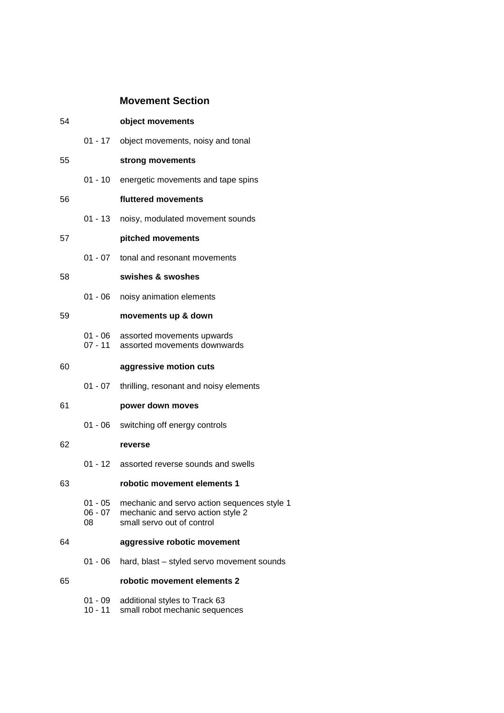# **Movement Section**

| 54 |                      | object movements                                                                                                               |
|----|----------------------|--------------------------------------------------------------------------------------------------------------------------------|
|    |                      | 01 - 17 object movements, noisy and tonal                                                                                      |
| 55 |                      | strong movements                                                                                                               |
|    |                      | 01 - 10 energetic movements and tape spins                                                                                     |
| 56 |                      | fluttered movements                                                                                                            |
|    |                      | 01 - 13 noisy, modulated movement sounds                                                                                       |
| 57 |                      | pitched movements                                                                                                              |
|    | $01 - 07$            | tonal and resonant movements                                                                                                   |
| 58 |                      | swishes & swoshes                                                                                                              |
|    | 01 - 06              | noisy animation elements                                                                                                       |
| 59 |                      | movements up & down                                                                                                            |
|    | 01 - 06<br>$07 - 11$ | assorted movements upwards<br>assorted movements downwards                                                                     |
| 60 |                      | aggressive motion cuts                                                                                                         |
|    | 01 - 07              | thrilling, resonant and noisy elements                                                                                         |
| 61 |                      | power down moves                                                                                                               |
|    |                      | 01 - 06 switching off energy controls                                                                                          |
| 62 |                      | reverse                                                                                                                        |
|    |                      | 01 - 12 assorted reverse sounds and swells                                                                                     |
| 63 |                      | robotic movement elements 1                                                                                                    |
|    | 08                   | 01 - 05 mechanic and servo action sequences style 1<br>06 - 07 mechanic and servo action style 2<br>small servo out of control |
| 64 |                      | aggressive robotic movement                                                                                                    |
|    |                      | 01 - 06 hard, blast - styled servo movement sounds                                                                             |
| 65 |                      | robotic movement elements 2                                                                                                    |
|    | $10 - 11$            | 01 - 09 additional styles to Track 63<br>small robot mechanic sequences                                                        |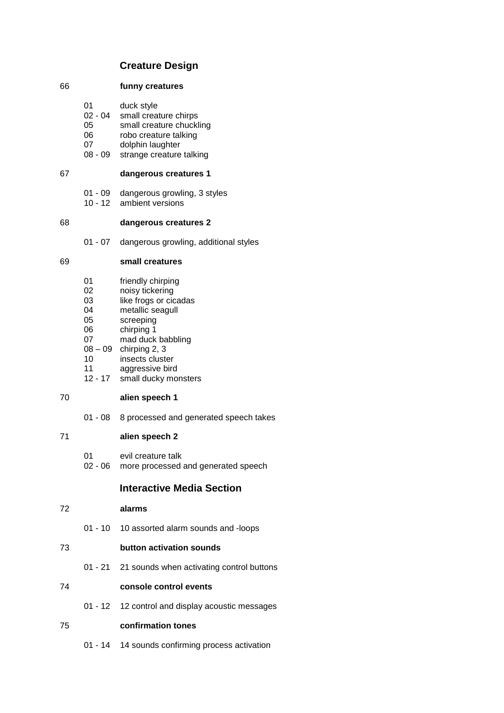# **Creature Design**

#### 66 **funny creatures**

- 01 duck style<br>02 04 small creat
- small creature chirps
- 05 small creature chuckling
- 06 robo creature talking
- 07 dolphin laughter
- 08 09 strange creature talking

## 67 **dangerous creatures 1**

- 01 09 dangerous growling, 3 styles
- 10 12 ambient versions

#### 68 **dangerous creatures 2**

01 - 07 dangerous growling, additional styles

#### 69 **small creatures**

- 01 friendly chirping
- 02 noisy tickering<br>03 like frogs or cic
- 03 like frogs or cicadas<br>04 metallic seagull
- 04 metallic seagull<br>05 screeping
- screeping
- 06 chirping 1
- 07 mad duck babbling
- 08 09 chirping 2, 3
- 10 insects cluster
- 11 aggressive bird
- 12 17 small ducky monsters

## 70 **alien speech 1**

01 - 08 8 processed and generated speech takes

#### 71 **alien speech 2**

- 01 evil creature talk
- 02 06 more processed and generated speech

# **Interactive Media Section**

#### 72 **alarms**

01 - 10 10 assorted alarm sounds and -loops

# 73 **button activation sounds**

01 - 21 21 sounds when activating control buttons

#### 74 **console control events**

01 - 12 12 control and display acoustic messages

## 75 **confirmation tones**

01 - 14 14 sounds confirming process activation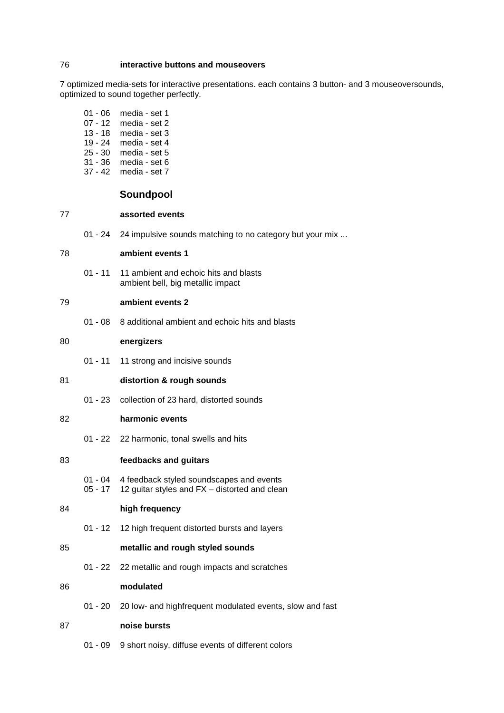## 76 **interactive buttons and mouseovers**

7 optimized media-sets for interactive presentations. each contains 3 button- and 3 mouseoversounds, optimized to sound together perfectly.

| 01 - 06   | media - set 1 |
|-----------|---------------|
| $07 - 12$ | media - set 2 |
| $13 - 18$ | media - set 3 |
| $19 - 24$ | media - set 4 |
| $25 - 30$ | media - set 5 |
| 31 - 36   | media - set 6 |
| $37 - 42$ | media - set 7 |

## **Soundpool**

#### 77 **assorted events**

01 - 24 24 impulsive sounds matching to no category but your mix ...

#### 78 **ambient events 1**

01 - 11 11 ambient and echoic hits and blasts ambient bell, big metallic impact

## 79 **ambient events 2**

01 - 08 8 additional ambient and echoic hits and blasts

## 80 **energizers**

- 01 11 11 strong and incisive sounds
- 81 **distortion & rough sounds**
	- 01 23 collection of 23 hard, distorted sounds

## 82 **harmonic events**

01 - 22 22 harmonic, tonal swells and hits

#### 83 **feedbacks and guitars**

01 - 04 4 feedback styled soundscapes and events<br>05 - 17 12 quitar styles and FX – distorted and clear 12 guitar styles and  $FX -$  distorted and clean

#### 84 **high frequency**

01 - 12 12 high frequent distorted bursts and layers

## 85 **metallic and rough styled sounds**

01 - 22 22 metallic and rough impacts and scratches

#### 86 **modulated**

01 - 20 20 low- and highfrequent modulated events, slow and fast

#### 87 **noise bursts**

01 - 09 9 short noisy, diffuse events of different colors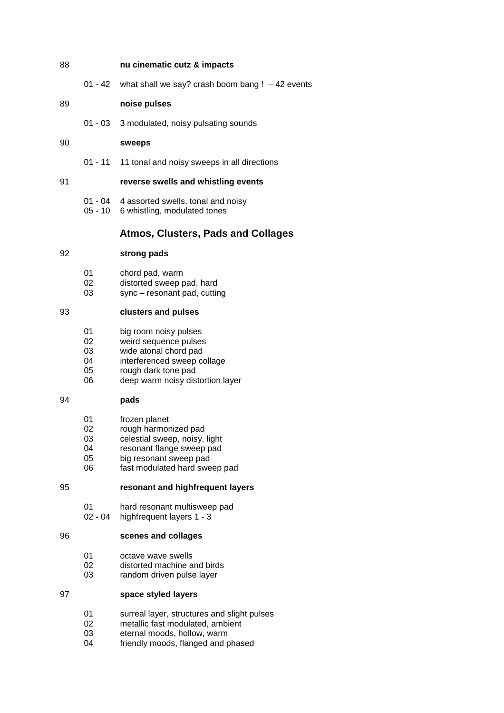#### 88 **nu cinematic cutz & impacts**

01 - 42 what shall we say? crash boom bang !  $-42$  events

#### 89 **noise pulses**

01 - 03 3 modulated, noisy pulsating sounds

#### 90 **sweeps**

01 - 11 11 tonal and noisy sweeps in all directions

#### 91 **reverse swells and whistling events**

- 01 04 4 assorted swells, tonal and noisy
- 05 10 6 whistling, modulated tones

## **Atmos, Clusters, Pads and Collages**

#### 92 **strong pads**

- 01 chord pad, warm
- 02 distorted sweep pad, hard<br>03 sync resonant pad, cuttir
- $sync resonant pad, cutting$

## 93 **clusters and pulses**

- 01 big room noisy pulses<br>02 weird sequence pulses
- 02 weird sequence pulses<br>03 wide atonal chord pad
- wide atonal chord pad
- 04 interferenced sweep collage
- 05 rough dark tone pad
- 06 deep warm noisy distortion layer

#### 94 **pads**

- 01 frozen planet
- 02 rough harmonized pad
- 03 celestial sweep, noisy, light
- 04 resonant flange sweep pad<br>05 big resonant sweep pad
- big resonant sweep pad
- 06 fast modulated hard sweep pad

# 95 **resonant and highfrequent layers**

- 01 hard resonant multisweep pad<br>02 04 highfrequent layers 1 3
- highfrequent layers  $1 3$

## 96 **scenes and collages**

- 01 octave wave swells
- 02 distorted machine and birds<br>03 random driven pulse layer
- random driven pulse layer

#### 97 **space styled layers**

- 01 surreal layer, structures and slight pulses
- 02 metallic fast modulated, ambient<br>03 eternal moods hollow warm
- 03 eternal moods, hollow, warm<br>04 friendly moods, flanged and po
- friendly moods, flanged and phased